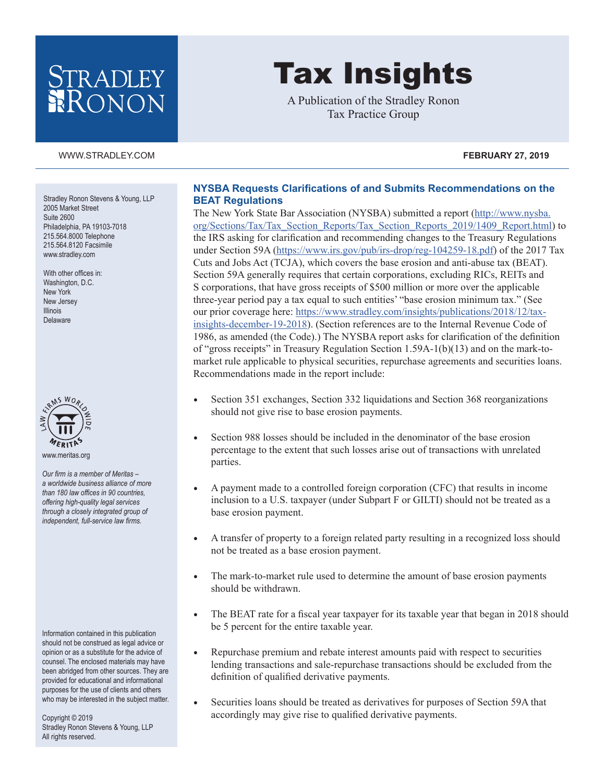## RADLEY ONON

# Tax Insights

A Publication of the Stradley Ronon Tax Practice Group

### [WWW.STRADLEY.COM](www.stradley.com) **FEBRUARY 27, 2019**

Stradley Ronon Stevens & Young, LLP 2005 Market Street Suite 2600 Philadelphia, PA 19103-7018 215.564.8000 Telephone 215.564.8120 Facsimile [www.stradley.com](http://www.stradley.com)

With other offices in: Washington, D.C. New York New Jersey Illinois Delaware



*Our firm is a member of Meritas – a worldwide business alliance of more than 180 law offices in 90 countries, offering high-quality legal services through a closely integrated group of independent, full-service law firms.*

Information contained in this publication should not be construed as legal advice or opinion or as a substitute for the advice of counsel. The enclosed materials may have been abridged from other sources. They are provided for educational and informational purposes for the use of clients and others who may be interested in the subject matter.

Copyright © 2019 Stradley Ronon Stevens & Young, LLP All rights reserved.

## **NYSBA Requests Clarifications of and Submits Recommendations on the BEAT Regulations**

The New York State Bar Association (NYSBA) submitted a report ([http://www.nysba.](http://www.nysba.org/Sections/Tax/Tax_Section_Reports/Tax_Section_Reports_2019/1409_Report.html) [org/Sections/Tax/Tax\\_Section\\_Reports/Tax\\_Section\\_Reports\\_2019/1409\\_Report.html\)](http://www.nysba.org/Sections/Tax/Tax_Section_Reports/Tax_Section_Reports_2019/1409_Report.html) to the IRS asking for clarification and recommending changes to the Treasury Regulations under Section 59A (<https://www.irs.gov/pub/irs-drop/reg-104259-18.pdf>) of the 2017 Tax Cuts and Jobs Act (TCJA), which covers the base erosion and anti-abuse tax (BEAT). Section 59A generally requires that certain corporations, excluding RICs, REITs and S corporations, that have gross receipts of \$500 million or more over the applicable three-year period pay a tax equal to such entities' "base erosion minimum tax." (See our prior coverage here: [https://www.stradley.com/insights/publications/2018/12/tax](https://www.stradley.com/insights/publications/2018/12/tax-insights-december-19-2018)[insights-december-19-2018\)](https://www.stradley.com/insights/publications/2018/12/tax-insights-december-19-2018). (Section references are to the Internal Revenue Code of 1986, as amended (the Code).) The NYSBA report asks for clarification of the definition of "gross receipts" in Treasury Regulation Section 1.59A-1(b)(13) and on the mark-tomarket rule applicable to physical securities, repurchase agreements and securities loans. Recommendations made in the report include:

- Section 351 exchanges, Section 332 liquidations and Section 368 reorganizations should not give rise to base erosion payments.
- Section 988 losses should be included in the denominator of the base erosion percentage to the extent that such losses arise out of transactions with unrelated parties.
- A payment made to a controlled foreign corporation (CFC) that results in income inclusion to a U.S. taxpayer (under Subpart F or GILTI) should not be treated as a base erosion payment.
- A transfer of property to a foreign related party resulting in a recognized loss should not be treated as a base erosion payment.
- The mark-to-market rule used to determine the amount of base erosion payments should be withdrawn.
- The BEAT rate for a fiscal year taxpayer for its taxable year that began in 2018 should be 5 percent for the entire taxable year.
- Repurchase premium and rebate interest amounts paid with respect to securities lending transactions and sale-repurchase transactions should be excluded from the definition of qualified derivative payments.
- Securities loans should be treated as derivatives for purposes of Section 59A that accordingly may give rise to qualified derivative payments.